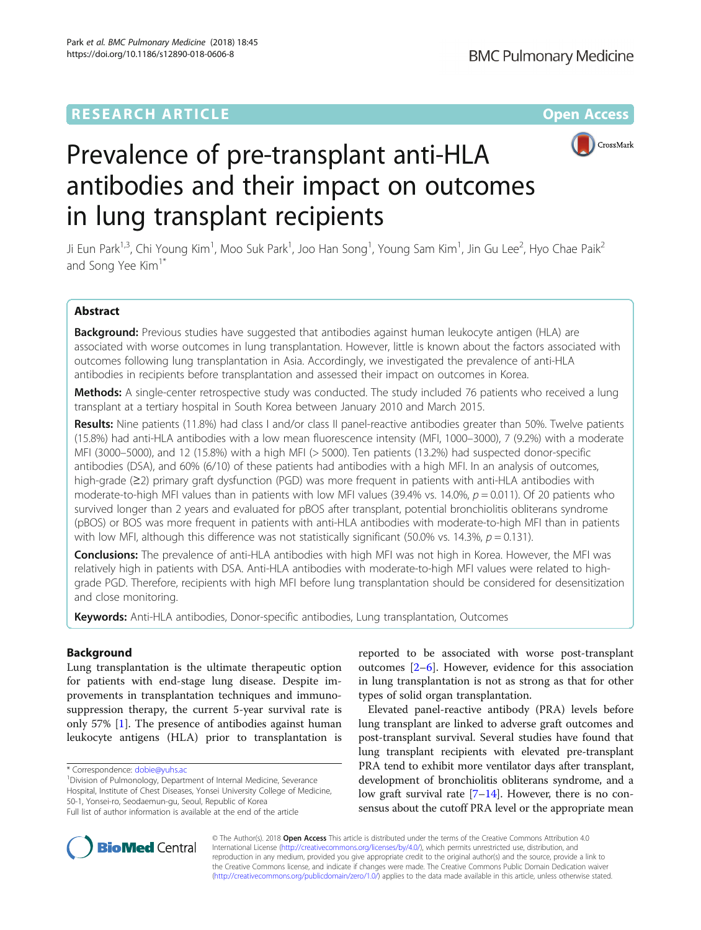## **RESEARCH ARTICLE External Structure Community Community Community Community Community Community Community Community**



# Prevalence of pre-transplant anti-HLA antibodies and their impact on outcomes in lung transplant recipients

Ji Eun Park<sup>1,3</sup>, Chi Young Kim<sup>1</sup>, Moo Suk Park<sup>1</sup>, Joo Han Song<sup>1</sup>, Young Sam Kim<sup>1</sup>, Jin Gu Lee<sup>2</sup>, Hyo Chae Paik<sup>2</sup> and Song Yee Kim<sup>1\*</sup>

## Abstract

Background: Previous studies have suggested that antibodies against human leukocyte antigen (HLA) are associated with worse outcomes in lung transplantation. However, little is known about the factors associated with outcomes following lung transplantation in Asia. Accordingly, we investigated the prevalence of anti-HLA antibodies in recipients before transplantation and assessed their impact on outcomes in Korea.

**Methods:** A single-center retrospective study was conducted. The study included 76 patients who received a lung transplant at a tertiary hospital in South Korea between January 2010 and March 2015.

Results: Nine patients (11.8%) had class I and/or class II panel-reactive antibodies greater than 50%. Twelve patients (15.8%) had anti-HLA antibodies with a low mean fluorescence intensity (MFI, 1000–3000), 7 (9.2%) with a moderate MFI (3000–5000), and 12 (15.8%) with a high MFI (> 5000). Ten patients (13.2%) had suspected donor-specific antibodies (DSA), and 60% (6/10) of these patients had antibodies with a high MFI. In an analysis of outcomes, high-grade (≥2) primary graft dysfunction (PGD) was more frequent in patients with anti-HLA antibodies with moderate-to-high MFI values than in patients with low MFI values (39.4% vs. 14.0%,  $p = 0.011$ ). Of 20 patients who survived longer than 2 years and evaluated for pBOS after transplant, potential bronchiolitis obliterans syndrome (pBOS) or BOS was more frequent in patients with anti-HLA antibodies with moderate-to-high MFI than in patients with low MFI, although this difference was not statistically significant (50.0% vs. 14.3%,  $p = 0.131$ ).

**Conclusions:** The prevalence of anti-HLA antibodies with high MFI was not high in Korea. However, the MFI was relatively high in patients with DSA. Anti-HLA antibodies with moderate-to-high MFI values were related to highgrade PGD. Therefore, recipients with high MFI before lung transplantation should be considered for desensitization and close monitoring.

Keywords: Anti-HLA antibodies, Donor-specific antibodies, Lung transplantation, Outcomes

## Background

Lung transplantation is the ultimate therapeutic option for patients with end-stage lung disease. Despite improvements in transplantation techniques and immunosuppression therapy, the current 5-year survival rate is only 57% [[1\]](#page-7-0). The presence of antibodies against human leukocyte antigens (HLA) prior to transplantation is

\* Correspondence: [dobie@yuhs.ac](mailto:dobie@yuhs.ac) <sup>1</sup>

<sup>1</sup> Division of Pulmonology, Department of Internal Medicine, Severance Hospital, Institute of Chest Diseases, Yonsei University College of Medicine, 50-1, Yonsei-ro, Seodaemun-gu, Seoul, Republic of Korea Full list of author information is available at the end of the article

reported to be associated with worse post-transplant outcomes [[2](#page-7-0)–[6](#page-7-0)]. However, evidence for this association in lung transplantation is not as strong as that for other types of solid organ transplantation.

Elevated panel-reactive antibody (PRA) levels before lung transplant are linked to adverse graft outcomes and post-transplant survival. Several studies have found that lung transplant recipients with elevated pre-transplant PRA tend to exhibit more ventilator days after transplant, development of bronchiolitis obliterans syndrome, and a low graft survival rate  $[7-14]$  $[7-14]$  $[7-14]$  $[7-14]$  $[7-14]$ . However, there is no consensus about the cutoff PRA level or the appropriate mean



© The Author(s). 2018 Open Access This article is distributed under the terms of the Creative Commons Attribution 4.0 International License [\(http://creativecommons.org/licenses/by/4.0/](http://creativecommons.org/licenses/by/4.0/)), which permits unrestricted use, distribution, and reproduction in any medium, provided you give appropriate credit to the original author(s) and the source, provide a link to the Creative Commons license, and indicate if changes were made. The Creative Commons Public Domain Dedication waiver [\(http://creativecommons.org/publicdomain/zero/1.0/](http://creativecommons.org/publicdomain/zero/1.0/)) applies to the data made available in this article, unless otherwise stated.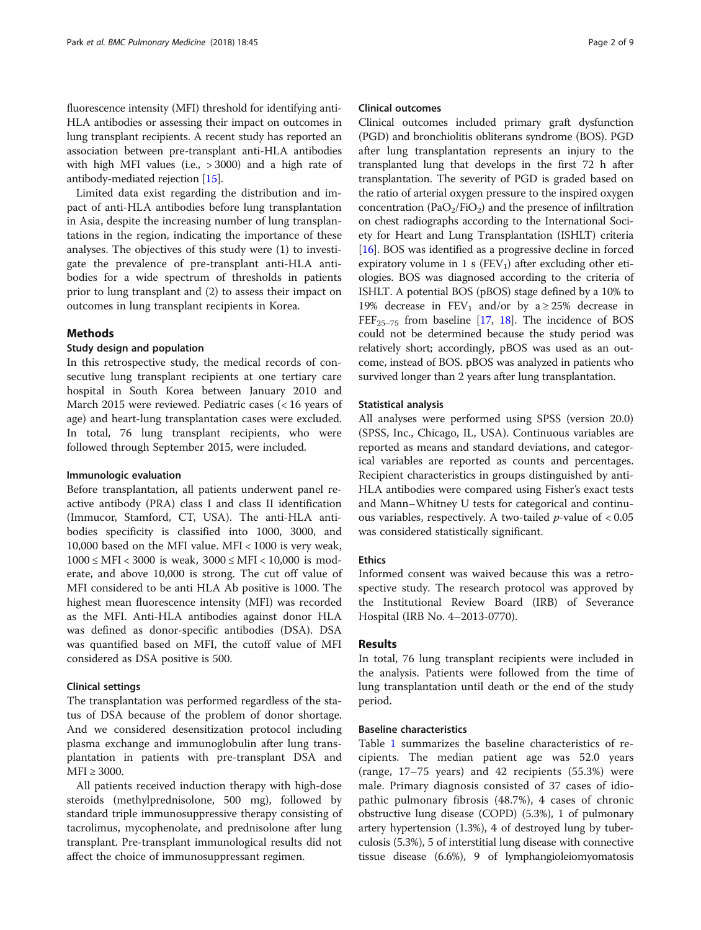fluorescence intensity (MFI) threshold for identifying anti-HLA antibodies or assessing their impact on outcomes in lung transplant recipients. A recent study has reported an association between pre-transplant anti-HLA antibodies with high MFI values (i.e., > 3000) and a high rate of antibody-mediated rejection [[15\]](#page-8-0).

Limited data exist regarding the distribution and impact of anti-HLA antibodies before lung transplantation in Asia, despite the increasing number of lung transplantations in the region, indicating the importance of these analyses. The objectives of this study were (1) to investigate the prevalence of pre-transplant anti-HLA antibodies for a wide spectrum of thresholds in patients prior to lung transplant and (2) to assess their impact on outcomes in lung transplant recipients in Korea.

## Methods

## Study design and population

In this retrospective study, the medical records of consecutive lung transplant recipients at one tertiary care hospital in South Korea between January 2010 and March 2015 were reviewed. Pediatric cases (< 16 years of age) and heart-lung transplantation cases were excluded. In total, 76 lung transplant recipients, who were followed through September 2015, were included.

#### Immunologic evaluation

Before transplantation, all patients underwent panel reactive antibody (PRA) class I and class II identification (Immucor, Stamford, CT, USA). The anti-HLA antibodies specificity is classified into 1000, 3000, and 10,000 based on the MFI value. MFI < 1000 is very weak, 1000 ≤ MFI < 3000 is weak, 3000 ≤ MFI < 10,000 is moderate, and above 10,000 is strong. The cut off value of MFI considered to be anti HLA Ab positive is 1000. The highest mean fluorescence intensity (MFI) was recorded as the MFI. Anti-HLA antibodies against donor HLA was defined as donor-specific antibodies (DSA). DSA was quantified based on MFI, the cutoff value of MFI considered as DSA positive is 500.

## Clinical settings

The transplantation was performed regardless of the status of DSA because of the problem of donor shortage. And we considered desensitization protocol including plasma exchange and immunoglobulin after lung transplantation in patients with pre-transplant DSA and  $MFI \geq 3000$ .

All patients received induction therapy with high-dose steroids (methylprednisolone, 500 mg), followed by standard triple immunosuppressive therapy consisting of tacrolimus, mycophenolate, and prednisolone after lung transplant. Pre-transplant immunological results did not affect the choice of immunosuppressant regimen.

#### Clinical outcomes

Clinical outcomes included primary graft dysfunction (PGD) and bronchiolitis obliterans syndrome (BOS). PGD after lung transplantation represents an injury to the transplanted lung that develops in the first 72 h after transplantation. The severity of PGD is graded based on the ratio of arterial oxygen pressure to the inspired oxygen concentration (PaO<sub>2</sub>/FiO<sub>2</sub>) and the presence of infiltration on chest radiographs according to the International Society for Heart and Lung Transplantation (ISHLT) criteria [[16](#page-8-0)]. BOS was identified as a progressive decline in forced expiratory volume in 1 s ( $FEV<sub>1</sub>$ ) after excluding other etiologies. BOS was diagnosed according to the criteria of ISHLT. A potential BOS (pBOS) stage defined by a 10% to 19% decrease in FEV<sub>1</sub> and/or by  $a \ge 25%$  decrease in  $FEF_{25-75}$  from baseline [\[17,](#page-8-0) [18](#page-8-0)]. The incidence of BOS could not be determined because the study period was relatively short; accordingly, pBOS was used as an outcome, instead of BOS. pBOS was analyzed in patients who survived longer than 2 years after lung transplantation.

## Statistical analysis

All analyses were performed using SPSS (version 20.0) (SPSS, Inc., Chicago, IL, USA). Continuous variables are reported as means and standard deviations, and categorical variables are reported as counts and percentages. Recipient characteristics in groups distinguished by anti-HLA antibodies were compared using Fisher's exact tests and Mann–Whitney U tests for categorical and continuous variables, respectively. A two-tailed  $p$ -value of  $< 0.05$ was considered statistically significant.

#### **Ethics**

Informed consent was waived because this was a retrospective study. The research protocol was approved by the Institutional Review Board (IRB) of Severance Hospital (IRB No. 4–2013-0770).

#### Results

In total, 76 lung transplant recipients were included in the analysis. Patients were followed from the time of lung transplantation until death or the end of the study period.

## Baseline characteristics

Table [1](#page-2-0) summarizes the baseline characteristics of recipients. The median patient age was 52.0 years (range, 17–75 years) and 42 recipients (55.3%) were male. Primary diagnosis consisted of 37 cases of idiopathic pulmonary fibrosis (48.7%), 4 cases of chronic obstructive lung disease (COPD) (5.3%), 1 of pulmonary artery hypertension (1.3%), 4 of destroyed lung by tuberculosis (5.3%), 5 of interstitial lung disease with connective tissue disease (6.6%), 9 of lymphangioleiomyomatosis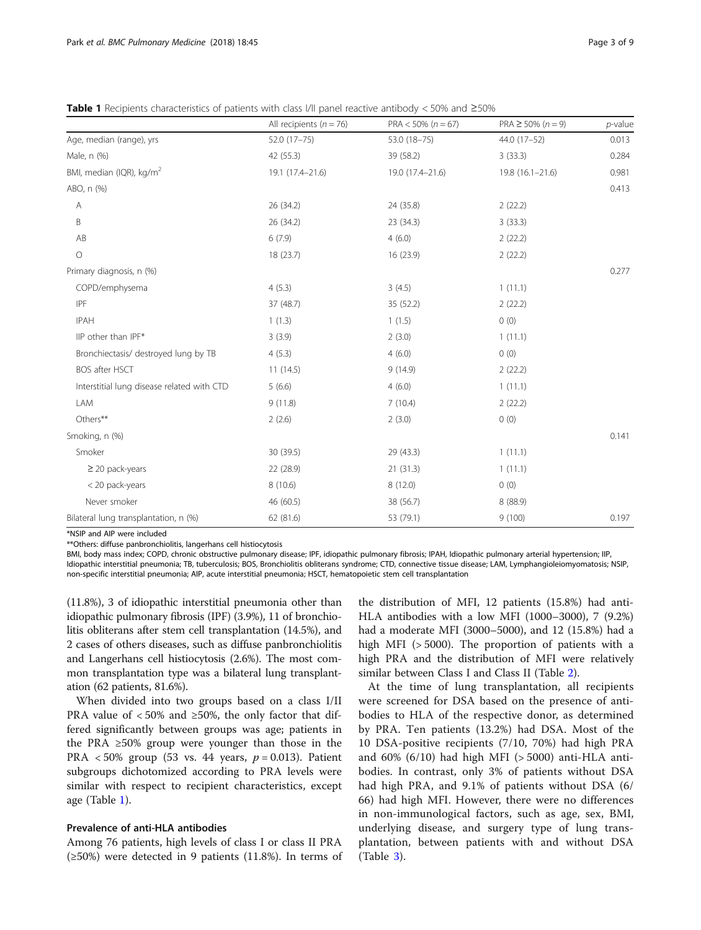<span id="page-2-0"></span>Table 1 Recipients characteristics of patients with class I/II panel reactive antibody < 50% and ≥50%

|                                            | All recipients ( $n = 76$ ) | PRA < $50\%$ ( $n = 67$ ) | PRA $\geq$ 50% (n = 9) | $p$ -value |
|--------------------------------------------|-----------------------------|---------------------------|------------------------|------------|
| Age, median (range), yrs                   | 52.0 (17-75)                | 53.0 (18-75)              | 44.0 (17-52)           | 0.013      |
| Male, n (%)                                | 42 (55.3)                   | 39 (58.2)                 | 3(33.3)                | 0.284      |
| BMI, median (IQR), kg/m <sup>2</sup>       | 19.1 (17.4-21.6)            | 19.0 (17.4-21.6)          | 19.8 (16.1-21.6)       | 0.981      |
| ABO, n (%)                                 |                             |                           |                        | 0.413      |
| Α                                          | 26 (34.2)                   | 24 (35.8)                 | 2(22.2)                |            |
| Β                                          | 26 (34.2)                   | 23 (34.3)                 | 3(33.3)                |            |
| AB                                         | 6(7.9)                      | 4(6.0)                    | 2(22.2)                |            |
| $\circ$                                    | 18 (23.7)                   | 16 (23.9)                 | 2(22.2)                |            |
| Primary diagnosis, n (%)                   |                             |                           |                        | 0.277      |
| COPD/emphysema                             | 4(5.3)                      | 3(4.5)                    | 1(11.1)                |            |
| IPF                                        | 37 (48.7)                   | 35 (52.2)                 | 2(22.2)                |            |
| <b>IPAH</b>                                | 1(1.3)                      | 1(1.5)                    | 0(0)                   |            |
| IIP other than IPF*                        | 3(3.9)                      | 2(3.0)                    | 1(11.1)                |            |
| Bronchiectasis/ destroyed lung by TB       | 4(5.3)                      | 4(6.0)                    | 0(0)                   |            |
| <b>BOS after HSCT</b>                      | 11(14.5)                    | 9(14.9)                   | 2(22.2)                |            |
| Interstitial lung disease related with CTD | 5(6.6)                      | 4(6.0)                    | 1(11.1)                |            |
| LAM                                        | 9(11.8)                     | 7(10.4)                   | 2(22.2)                |            |
| Others**                                   | 2(2.6)                      | 2(3.0)                    | 0(0)                   |            |
| Smoking, n (%)                             |                             |                           |                        | 0.141      |
| Smoker                                     | 30 (39.5)                   | 29 (43.3)                 | 1(11.1)                |            |
| $\geq$ 20 pack-years                       | 22 (28.9)                   | 21(31.3)                  | 1(11.1)                |            |
| < 20 pack-years                            | 8(10.6)                     | 8(12.0)                   | 0(0)                   |            |
| Never smoker                               | 46 (60.5)                   | 38 (56.7)                 | 8 (88.9)               |            |
| Bilateral lung transplantation, n (%)      | 62 (81.6)                   | 53 (79.1)                 | 9(100)                 | 0.197      |

\*NSIP and AIP were included

\*\*Others: diffuse panbronchiolitis, langerhans cell histiocytosis

BMI, body mass index; COPD, chronic obstructive pulmonary disease; IPF, idiopathic pulmonary fibrosis; IPAH, Idiopathic pulmonary arterial hypertension; IIP,

Idiopathic interstitial pneumonia; TB, tuberculosis; BOS, Bronchiolitis obliterans syndrome; CTD, connective tissue disease; LAM, Lymphangioleiomyomatosis; NSIP, non-specific interstitial pneumonia; AIP, acute interstitial pneumonia; HSCT, hematopoietic stem cell transplantation

(11.8%), 3 of idiopathic interstitial pneumonia other than idiopathic pulmonary fibrosis (IPF) (3.9%), 11 of bronchiolitis obliterans after stem cell transplantation (14.5%), and 2 cases of others diseases, such as diffuse panbronchiolitis and Langerhans cell histiocytosis (2.6%). The most common transplantation type was a bilateral lung transplantation (62 patients, 81.6%).

When divided into two groups based on a class I/II PRA value of  $<50\%$  and  $\geq50\%$ , the only factor that differed significantly between groups was age; patients in the PRA ≥50% group were younger than those in the PRA  $<$  50% group (53 vs. 44 years,  $p = 0.013$ ). Patient subgroups dichotomized according to PRA levels were similar with respect to recipient characteristics, except age (Table 1).

## Prevalence of anti-HLA antibodies

Among 76 patients, high levels of class I or class II PRA  $(\geq 50\%)$  were detected in 9 patients (11.8%). In terms of

the distribution of MFI, 12 patients (15.8%) had anti-HLA antibodies with a low MFI (1000–3000), 7 (9.2%) had a moderate MFI (3000–5000), and 12 (15.8%) had a high MFI (> 5000). The proportion of patients with a high PRA and the distribution of MFI were relatively similar between Class I and Class II (Table [2](#page-3-0)).

At the time of lung transplantation, all recipients were screened for DSA based on the presence of antibodies to HLA of the respective donor, as determined by PRA. Ten patients (13.2%) had DSA. Most of the 10 DSA-positive recipients (7/10, 70%) had high PRA and 60% (6/10) had high MFI (> 5000) anti-HLA antibodies. In contrast, only 3% of patients without DSA had high PRA, and 9.1% of patients without DSA (6/ 66) had high MFI. However, there were no differences in non-immunological factors, such as age, sex, BMI, underlying disease, and surgery type of lung transplantation, between patients with and without DSA (Table [3\)](#page-4-0).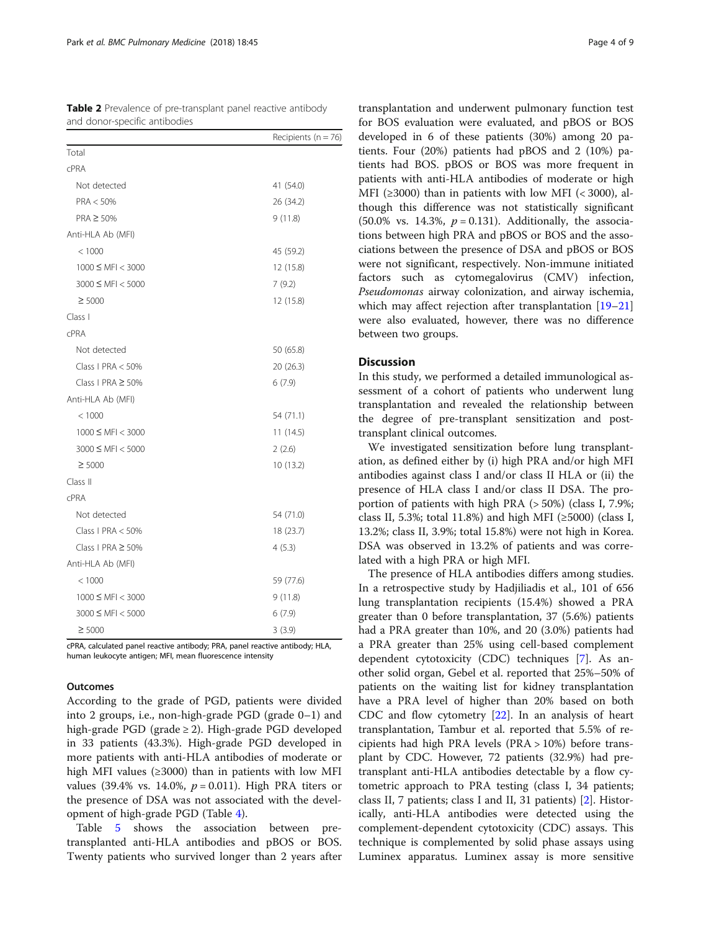| and donor-specific antibodies |                         |  |  |
|-------------------------------|-------------------------|--|--|
|                               | Recipients ( $n = 76$ ) |  |  |
| Total                         |                         |  |  |
| <b>CPRA</b>                   |                         |  |  |
| Not detected                  | 41 (54.0)               |  |  |
| PRA < 50%                     | 26 (34.2)               |  |  |
| $PRA \ge 50\%$                | 9(11.8)                 |  |  |
| Anti-HLA Ab (MFI)             |                         |  |  |
| < 1000                        | 45 (59.2)               |  |  |
| $1000 \leq MFI < 3000$        | 12 (15.8)               |  |  |
| $3000 \leq MFI < 5000$        | 7(9.2)                  |  |  |
| $\geq 5000$                   | 12 (15.8)               |  |  |
| Class I                       |                         |  |  |
| <b>CPRA</b>                   |                         |  |  |
| Not detected                  | 50 (65.8)               |  |  |
| Class I PRA $<$ 50%           | 20 (26.3)               |  |  |
| Class   PRA $\geq$ 50%        | 6(7.9)                  |  |  |
| Anti-HLA Ab (MFI)             |                         |  |  |
| < 1000                        | 54 (71.1)               |  |  |
| $1000 \leq MFI < 3000$        | 11(14.5)                |  |  |
| $3000 \leq MFI < 5000$        | 2(2.6)                  |  |  |
| $\geq 5000$                   | 10 (13.2)               |  |  |
| Class II                      |                         |  |  |
| <b>cPRA</b>                   |                         |  |  |
| Not detected                  | 54 (71.0)               |  |  |
| Class I PRA $<$ 50%           | 18 (23.7)               |  |  |
| Class I PRA $\geq$ 50%        | 4(5.3)                  |  |  |
| Anti-HLA Ab (MFI)             |                         |  |  |
| < 1000                        | 59 (77.6)               |  |  |
| $1000 \leq MFI < 3000$        | 9(11.8)                 |  |  |
| 3000 ≤ MFI < 5000             | 6(7.9)                  |  |  |
| $\geq 5000$                   | 3(3.9)                  |  |  |

<span id="page-3-0"></span>Table 2 Prevalence of pre-transplant panel reactive antibody

cPRA, calculated panel reactive antibody; PRA, panel reactive antibody; HLA, human leukocyte antigen; MFI, mean fluorescence intensity

## **Outcomes**

According to the grade of PGD, patients were divided into 2 groups, i.e., non-high-grade PGD (grade 0–1) and high-grade PGD (grade ≥ 2). High-grade PGD developed in 33 patients (43.3%). High-grade PGD developed in more patients with anti-HLA antibodies of moderate or high MFI values ( $\geq 3000$ ) than in patients with low MFI values (39.4% vs. 14.0%,  $p = 0.011$ ). High PRA titers or the presence of DSA was not associated with the development of high-grade PGD (Table [4](#page-5-0)).

Table [5](#page-6-0) shows the association between pretransplanted anti-HLA antibodies and pBOS or BOS. Twenty patients who survived longer than 2 years after

transplantation and underwent pulmonary function test for BOS evaluation were evaluated, and pBOS or BOS developed in 6 of these patients (30%) among 20 patients. Four (20%) patients had pBOS and 2 (10%) patients had BOS. pBOS or BOS was more frequent in patients with anti-HLA antibodies of moderate or high MFI ( $\geq$ 3000) than in patients with low MFI ( $\lt$  3000), although this difference was not statistically significant (50.0% vs. 14.3%,  $p = 0.131$ ). Additionally, the associations between high PRA and pBOS or BOS and the associations between the presence of DSA and pBOS or BOS were not significant, respectively. Non-immune initiated factors such as cytomegalovirus (CMV) infection, Pseudomonas airway colonization, and airway ischemia, which may affect rejection after transplantation [[19](#page-8-0)–[21](#page-8-0)] were also evaluated, however, there was no difference between two groups.

## **Discussion**

In this study, we performed a detailed immunological assessment of a cohort of patients who underwent lung transplantation and revealed the relationship between the degree of pre-transplant sensitization and posttransplant clinical outcomes.

We investigated sensitization before lung transplantation, as defined either by (i) high PRA and/or high MFI antibodies against class I and/or class II HLA or (ii) the presence of HLA class I and/or class II DSA. The proportion of patients with high PRA (> 50%) (class I, 7.9%; class II, 5.3%; total 11.8%) and high MFI ( $\geq$ 5000) (class I, 13.2%; class II, 3.9%; total 15.8%) were not high in Korea. DSA was observed in 13.2% of patients and was correlated with a high PRA or high MFI.

The presence of HLA antibodies differs among studies. In a retrospective study by Hadjiliadis et al., 101 of 656 lung transplantation recipients (15.4%) showed a PRA greater than 0 before transplantation, 37 (5.6%) patients had a PRA greater than 10%, and 20 (3.0%) patients had a PRA greater than 25% using cell-based complement dependent cytotoxicity (CDC) techniques [\[7](#page-7-0)]. As another solid organ, Gebel et al. reported that 25%–50% of patients on the waiting list for kidney transplantation have a PRA level of higher than 20% based on both CDC and flow cytometry [[22\]](#page-8-0). In an analysis of heart transplantation, Tambur et al. reported that 5.5% of recipients had high PRA levels (PRA > 10%) before transplant by CDC. However, 72 patients (32.9%) had pretransplant anti-HLA antibodies detectable by a flow cytometric approach to PRA testing (class I, 34 patients; class II, 7 patients; class I and II, 31 patients) [\[2\]](#page-7-0). Historically, anti-HLA antibodies were detected using the complement-dependent cytotoxicity (CDC) assays. This technique is complemented by solid phase assays using Luminex apparatus. Luminex assay is more sensitive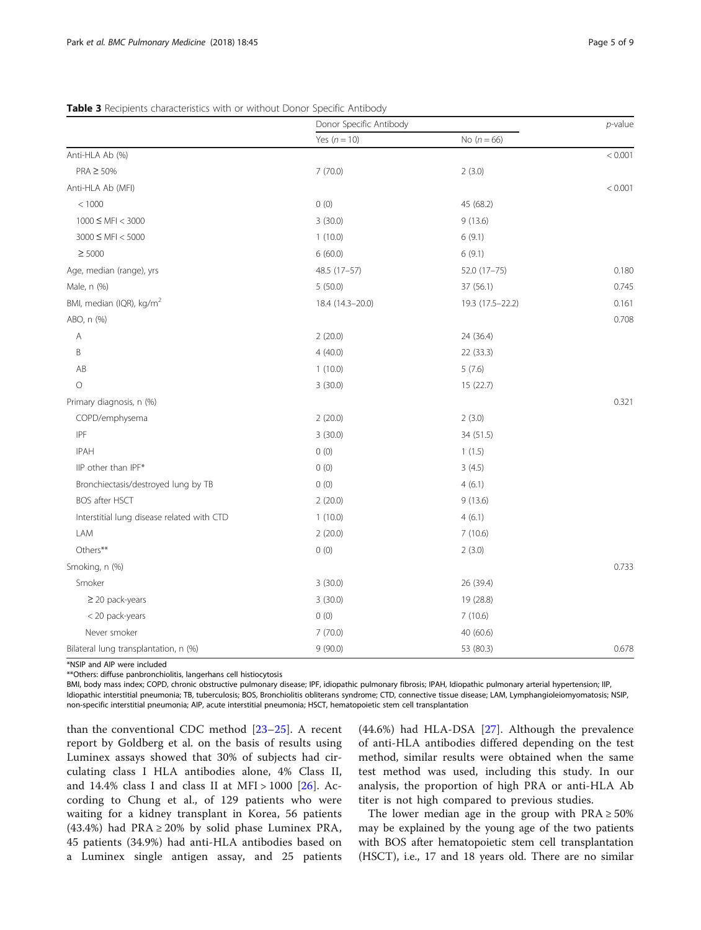|                                            | Donor Specific Antibody |                  | $p$ -value |
|--------------------------------------------|-------------------------|------------------|------------|
|                                            | Yes $(n = 10)$          | No $(n = 66)$    |            |
| Anti-HLA Ab (%)                            |                         |                  | < 0.001    |
| $PRA \ge 50\%$                             | 7(70.0)                 | 2(3.0)           |            |
| Anti-HLA Ab (MFI)                          |                         |                  | < 0.001    |
| < 1000                                     | 0(0)                    | 45 (68.2)        |            |
| $1000 \leq MFI < 3000$                     | 3(30.0)                 | 9(13.6)          |            |
| 3000 ≤ MFI < 5000                          | 1(10.0)                 | 6(9.1)           |            |
| $\geq 5000$                                | 6(60.0)                 | 6(9.1)           |            |
| Age, median (range), yrs                   | 48.5 (17-57)            | 52.0 (17-75)     | 0.180      |
| Male, n (%)                                | 5(50.0)                 | 37 (56.1)        | 0.745      |
| BMI, median (IQR), kg/m <sup>2</sup>       | 18.4 (14.3-20.0)        | 19.3 (17.5-22.2) | 0.161      |
| ABO, n (%)                                 |                         |                  | 0.708      |
| A                                          | 2(20.0)                 | 24 (36.4)        |            |
| B                                          | 4(40.0)                 | 22 (33.3)        |            |
| AB                                         | 1(10.0)                 | 5(7.6)           |            |
| $\circ$                                    | 3(30.0)                 | 15 (22.7)        |            |
| Primary diagnosis, n (%)                   |                         |                  | 0.321      |
| COPD/emphysema                             | 2(20.0)                 | 2(3.0)           |            |
| IPF                                        | 3(30.0)                 | 34 (51.5)        |            |
| <b>IPAH</b>                                | 0(0)                    | 1(1.5)           |            |
| IIP other than IPF*                        | 0(0)                    | 3(4.5)           |            |
| Bronchiectasis/destroyed lung by TB        | 0(0)                    | 4(6.1)           |            |
| <b>BOS after HSCT</b>                      | 2(20.0)                 | 9(13.6)          |            |
| Interstitial lung disease related with CTD | 1(10.0)                 | 4(6.1)           |            |
| LAM                                        | 2(20.0)                 | 7(10.6)          |            |
| Others**                                   | 0(0)                    | 2(3.0)           |            |
| Smoking, n (%)                             |                         |                  | 0.733      |
| Smoker                                     | 3(30.0)                 | 26 (39.4)        |            |
| $\geq$ 20 pack-years                       | 3(30.0)                 | 19 (28.8)        |            |
| < 20 pack-years                            | 0(0)                    | 7(10.6)          |            |
| Never smoker                               | 7(70.0)                 | 40 (60.6)        |            |
| Bilateral lung transplantation, n (%)      | 9(90.0)                 | 53 (80.3)        | 0.678      |

<span id="page-4-0"></span>Table 3 Recipients characteristics with or without Donor Specific Antibody

 $^{\circ}$ NSIP and AIP were include

\*\*Others: diffuse panbronchiolitis, langerhans cell histiocytosis

BMI, body mass index; COPD, chronic obstructive pulmonary disease; IPF, idiopathic pulmonary fibrosis; IPAH, Idiopathic pulmonary arterial hypertension; IIP, Idiopathic interstitial pneumonia; TB, tuberculosis; BOS, Bronchiolitis obliterans syndrome; CTD, connective tissue disease; LAM, Lymphangioleiomyomatosis; NSIP, non-specific interstitial pneumonia; AIP, acute interstitial pneumonia; HSCT, hematopoietic stem cell transplantation

than the conventional CDC method [\[23](#page-8-0)–[25](#page-8-0)]. A recent report by Goldberg et al. on the basis of results using Luminex assays showed that 30% of subjects had circulating class I HLA antibodies alone, 4% Class II, and 14.4% class I and class II at MFI > 1000  $[26]$  $[26]$  $[26]$ . According to Chung et al., of 129 patients who were waiting for a kidney transplant in Korea, 56 patients (43.4%) had  $PRA \ge 20\%$  by solid phase Luminex PRA, 45 patients (34.9%) had anti-HLA antibodies based on a Luminex single antigen assay, and 25 patients

(44.6%) had HLA-DSA [[27](#page-8-0)]. Although the prevalence of anti-HLA antibodies differed depending on the test method, similar results were obtained when the same test method was used, including this study. In our analysis, the proportion of high PRA or anti-HLA Ab titer is not high compared to previous studies.

The lower median age in the group with  $PRA \geq 50\%$ may be explained by the young age of the two patients with BOS after hematopoietic stem cell transplantation (HSCT), i.e., 17 and 18 years old. There are no similar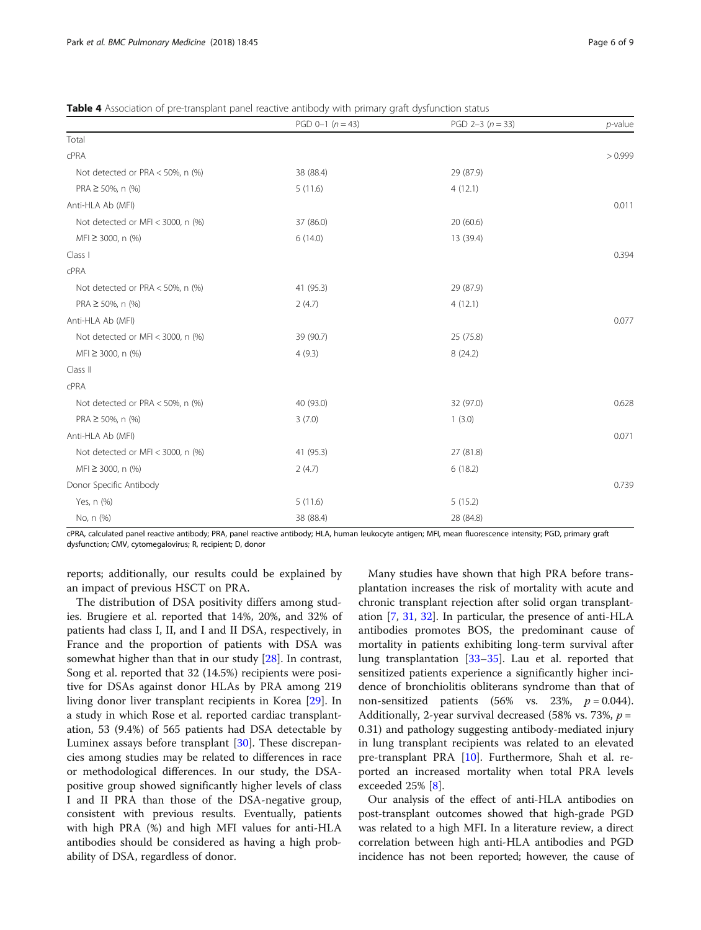<span id="page-5-0"></span>Table 4 Association of pre-transplant panel reactive antibody with primary graft dysfunction status

|                                     | PGD 0-1 $(n = 43)$ | PGD 2-3 $(n = 33)$ | $p$ -value |
|-------------------------------------|--------------------|--------------------|------------|
| Total                               |                    |                    |            |
| <b>CPRA</b>                         |                    |                    | > 0.999    |
| Not detected or PRA < 50%, n (%)    | 38 (88.4)          | 29 (87.9)          |            |
| $PRA \ge 50\%$ , n (%)              | 5(11.6)            | 4(12.1)            |            |
| Anti-HLA Ab (MFI)                   |                    |                    | 0.011      |
| Not detected or MFI $<$ 3000, n $%$ | 37 (86.0)          | 20(60.6)           |            |
| MFI ≥ 3000, n (%)                   | 6(14.0)            | 13 (39.4)          |            |
| Class I                             |                    |                    | 0.394      |
| cPRA                                |                    |                    |            |
| Not detected or PRA < 50%, n (%)    | 41 (95.3)          | 29 (87.9)          |            |
| $PRA \ge 50\%$ , n $(\% )$          | 2(4.7)             | 4(12.1)            |            |
| Anti-HLA Ab (MFI)                   |                    |                    | 0.077      |
| Not detected or MFI $<$ 3000, n $%$ | 39 (90.7)          | 25 (75.8)          |            |
| $MFI \ge 3000$ , n (%)              | 4(9.3)             | 8(24.2)            |            |
| Class II                            |                    |                    |            |
| cPRA                                |                    |                    |            |
| Not detected or PRA < 50%, n (%)    | 40 (93.0)          | 32 (97.0)          | 0.628      |
| PRA $\geq 50\%$ , n (%)             | 3(7.0)             | 1(3.0)             |            |
| Anti-HLA Ab (MFI)                   |                    |                    | 0.071      |
| Not detected or MFI < 3000, n (%)   | 41 (95.3)          | 27 (81.8)          |            |
| $MFI \ge 3000$ , n (%)              | 2(4.7)             | 6(18.2)            |            |
| Donor Specific Antibody             |                    |                    | 0.739      |
| Yes, n (%)                          | 5(11.6)            | 5(15.2)            |            |
| No, n (%)                           | 38 (88.4)          | 28 (84.8)          |            |

cPRA, calculated panel reactive antibody; PRA, panel reactive antibody; HLA, human leukocyte antigen; MFI, mean fluorescence intensity; PGD, primary graft dysfunction; CMV, cytomegalovirus; R, recipient; D, donor

reports; additionally, our results could be explained by an impact of previous HSCT on PRA.

The distribution of DSA positivity differs among studies. Brugiere et al. reported that 14%, 20%, and 32% of patients had class I, II, and I and II DSA, respectively, in France and the proportion of patients with DSA was somewhat higher than that in our study [[28](#page-8-0)]. In contrast, Song et al. reported that 32 (14.5%) recipients were positive for DSAs against donor HLAs by PRA among 219 living donor liver transplant recipients in Korea [\[29\]](#page-8-0). In a study in which Rose et al. reported cardiac transplantation, 53 (9.4%) of 565 patients had DSA detectable by Luminex assays before transplant [\[30](#page-8-0)]. These discrepancies among studies may be related to differences in race or methodological differences. In our study, the DSApositive group showed significantly higher levels of class I and II PRA than those of the DSA-negative group, consistent with previous results. Eventually, patients with high PRA (%) and high MFI values for anti-HLA antibodies should be considered as having a high probability of DSA, regardless of donor.

Many studies have shown that high PRA before transplantation increases the risk of mortality with acute and chronic transplant rejection after solid organ transplantation [[7,](#page-7-0) [31](#page-8-0), [32](#page-8-0)]. In particular, the presence of anti-HLA antibodies promotes BOS, the predominant cause of mortality in patients exhibiting long-term survival after lung transplantation [\[33](#page-8-0)–[35\]](#page-8-0). Lau et al. reported that sensitized patients experience a significantly higher incidence of bronchiolitis obliterans syndrome than that of non-sensitized patients (56% vs. 23%,  $p = 0.044$ ). Additionally, 2-year survival decreased (58% vs. 73%,  $p =$ 0.31) and pathology suggesting antibody-mediated injury in lung transplant recipients was related to an elevated pre-transplant PRA [\[10\]](#page-8-0). Furthermore, Shah et al. reported an increased mortality when total PRA levels exceeded 25% [[8](#page-8-0)].

Our analysis of the effect of anti-HLA antibodies on post-transplant outcomes showed that high-grade PGD was related to a high MFI. In a literature review, a direct correlation between high anti-HLA antibodies and PGD incidence has not been reported; however, the cause of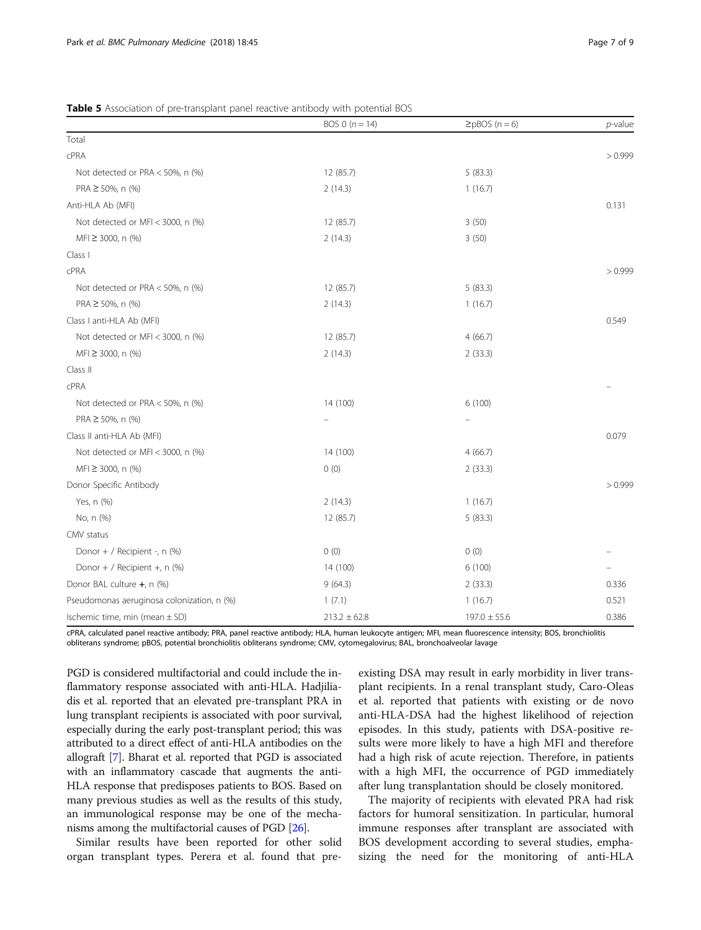|                                            | BOS 0 ( $n = 14$ )       | $\geq pBOS$ (n = 6) | $p$ -value |
|--------------------------------------------|--------------------------|---------------------|------------|
| Total                                      |                          |                     |            |
| cPRA                                       |                          |                     | > 0.999    |
| Not detected or PRA < 50%, n (%)           | 12 (85.7)                | 5(83.3)             |            |
| $PRA \ge 50\%$ , n (%)                     | 2(14.3)                  | 1(16.7)             |            |
| Anti-HLA Ab (MFI)                          |                          |                     | 0.131      |
| Not detected or MFI < 3000, n (%)          | 12 (85.7)                | 3(50)               |            |
| MFI ≥ 3000, n (%)                          | 2(14.3)                  | 3(50)               |            |
| Class I                                    |                          |                     |            |
| cPRA                                       |                          |                     | > 0.999    |
| Not detected or PRA < 50%, n (%)           | 12 (85.7)                | 5(83.3)             |            |
| $PRA \ge 50\%$ , n (%)                     | 2(14.3)                  | 1(16.7)             |            |
| Class I anti-HLA Ab (MFI)                  |                          |                     | 0.549      |
| Not detected or MFI < 3000, n (%)          | 12 (85.7)                | 4(66.7)             |            |
| MFI ≥ 3000, n (%)                          | 2(14.3)                  | 2(33.3)             |            |
| Class II                                   |                          |                     |            |
| cPRA                                       |                          |                     |            |
| Not detected or PRA < 50%, n (%)           | 14 (100)                 | 6 (100)             |            |
| $PRA \ge 50\%$ , n (%)                     | $\overline{\phantom{0}}$ |                     |            |
| Class II anti-HLA Ab (MFI)                 |                          |                     | 0.079      |
| Not detected or MFI < 3000, n (%)          | 14 (100)                 | 4(66.7)             |            |
| MFI ≥ 3000, n (%)                          | 0(0)                     | 2(33.3)             |            |
| Donor Specific Antibody                    |                          |                     | > 0.999    |
| Yes, n (%)                                 | 2(14.3)                  | 1(16.7)             |            |
| No, n (%)                                  | 12 (85.7)                | 5(83.3)             |            |
| CMV status                                 |                          |                     |            |
| Donor + / Recipient -, n (%)               | 0(0)                     | 0(0)                |            |
| Donor + / Recipient +, n (%)               | 14 (100)                 | 6(100)              |            |
| Donor BAL culture +, n (%)                 | 9(64.3)                  | 2(33.3)             | 0.336      |
| Pseudomonas aeruginosa colonization, n (%) | 1(7.1)                   | 1(16.7)             | 0.521      |
| Ischemic time, min (mean ± SD)             | $213.2 \pm 62.8$         | $197.0 \pm 55.6$    | 0.386      |

<span id="page-6-0"></span>Table 5 Association of pre-transplant panel reactive antibody with potential BOS

cPRA, calculated panel reactive antibody; PRA, panel reactive antibody; HLA, human leukocyte antigen; MFI, mean fluorescence intensity; BOS, bronchiolitis obliterans syndrome; pBOS, potential bronchiolitis obliterans syndrome; CMV, cytomegalovirus; BAL, bronchoalveolar lavage

PGD is considered multifactorial and could include the inflammatory response associated with anti-HLA. Hadjiliadis et al. reported that an elevated pre-transplant PRA in lung transplant recipients is associated with poor survival, especially during the early post-transplant period; this was attributed to a direct effect of anti-HLA antibodies on the allograft [[7\]](#page-7-0). Bharat et al. reported that PGD is associated with an inflammatory cascade that augments the anti-HLA response that predisposes patients to BOS. Based on many previous studies as well as the results of this study, an immunological response may be one of the mechanisms among the multifactorial causes of PGD [\[26\]](#page-8-0).

Similar results have been reported for other solid organ transplant types. Perera et al. found that pre-

existing DSA may result in early morbidity in liver transplant recipients. In a renal transplant study, Caro-Oleas et al. reported that patients with existing or de novo anti-HLA-DSA had the highest likelihood of rejection episodes. In this study, patients with DSA-positive results were more likely to have a high MFI and therefore had a high risk of acute rejection. Therefore, in patients with a high MFI, the occurrence of PGD immediately after lung transplantation should be closely monitored.

The majority of recipients with elevated PRA had risk factors for humoral sensitization. In particular, humoral immune responses after transplant are associated with BOS development according to several studies, emphasizing the need for the monitoring of anti-HLA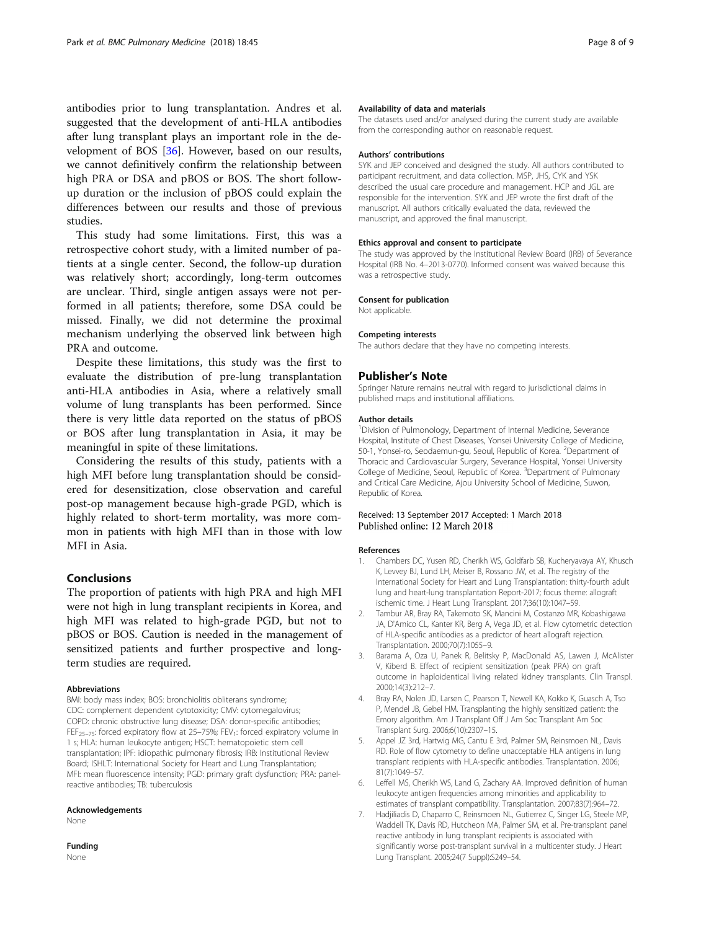<span id="page-7-0"></span>antibodies prior to lung transplantation. Andres et al. suggested that the development of anti-HLA antibodies after lung transplant plays an important role in the development of BOS [\[36\]](#page-8-0). However, based on our results, we cannot definitively confirm the relationship between high PRA or DSA and pBOS or BOS. The short followup duration or the inclusion of pBOS could explain the differences between our results and those of previous studies.

This study had some limitations. First, this was a retrospective cohort study, with a limited number of patients at a single center. Second, the follow-up duration was relatively short; accordingly, long-term outcomes are unclear. Third, single antigen assays were not performed in all patients; therefore, some DSA could be missed. Finally, we did not determine the proximal mechanism underlying the observed link between high PRA and outcome.

Despite these limitations, this study was the first to evaluate the distribution of pre-lung transplantation anti-HLA antibodies in Asia, where a relatively small volume of lung transplants has been performed. Since there is very little data reported on the status of pBOS or BOS after lung transplantation in Asia, it may be meaningful in spite of these limitations.

Considering the results of this study, patients with a high MFI before lung transplantation should be considered for desensitization, close observation and careful post-op management because high-grade PGD, which is highly related to short-term mortality, was more common in patients with high MFI than in those with low MFI in Asia.

## Conclusions

The proportion of patients with high PRA and high MFI were not high in lung transplant recipients in Korea, and high MFI was related to high-grade PGD, but not to pBOS or BOS. Caution is needed in the management of sensitized patients and further prospective and longterm studies are required.

#### Abbreviations

BMI: body mass index; BOS: bronchiolitis obliterans syndrome; CDC: complement dependent cytotoxicity; CMV: cytomegalovirus; COPD: chronic obstructive lung disease; DSA: donor-specific antibodies; FEF<sub>25–75</sub>: forced expiratory flow at 25–75%; FEV<sub>1</sub>: forced expiratory volume in 1 s; HLA: human leukocyte antigen; HSCT: hematopoietic stem cell transplantation; IPF: idiopathic pulmonary fibrosis; IRB: Institutional Review Board; ISHLT: International Society for Heart and Lung Transplantation; MFI: mean fluorescence intensity; PGD: primary graft dysfunction; PRA: panelreactive antibodies; TB: tuberculosis

#### Acknowledgements

None

### Funding

None

#### Availability of data and materials

The datasets used and/or analysed during the current study are available from the corresponding author on reasonable request.

#### Authors' contributions

SYK and JEP conceived and designed the study. All authors contributed to participant recruitment, and data collection. MSP, JHS, CYK and YSK described the usual care procedure and management. HCP and JGL are responsible for the intervention. SYK and JEP wrote the first draft of the manuscript. All authors critically evaluated the data, reviewed the manuscript, and approved the final manuscript.

## Ethics approval and consent to participate

The study was approved by the Institutional Review Board (IRB) of Severance Hospital (IRB No. 4–2013-0770). Informed consent was waived because this was a retrospective study.

#### Consent for publication

Not applicable.

#### Competing interests

The authors declare that they have no competing interests.

## Publisher's Note

Springer Nature remains neutral with regard to jurisdictional claims in published maps and institutional affiliations.

#### Author details

<sup>1</sup> Division of Pulmonology, Department of Internal Medicine, Severance Hospital, Institute of Chest Diseases, Yonsei University College of Medicine, 50-1, Yonsei-ro, Seodaemun-gu, Seoul, Republic of Korea. <sup>2</sup>Department of Thoracic and Cardiovascular Surgery, Severance Hospital, Yonsei University College of Medicine, Seoul, Republic of Korea. <sup>3</sup>Department of Pulmonary and Critical Care Medicine, Ajou University School of Medicine, Suwon, Republic of Korea.

#### Received: 13 September 2017 Accepted: 1 March 2018 Published online: 12 March 2018

#### References

- 1. Chambers DC, Yusen RD, Cherikh WS, Goldfarb SB, Kucheryavaya AY, Khusch K, Levvey BJ, Lund LH, Meiser B, Rossano JW, et al. The registry of the International Society for Heart and Lung Transplantation: thirty-fourth adult lung and heart-lung transplantation Report-2017; focus theme: allograft ischemic time. J Heart Lung Transplant. 2017;36(10):1047–59.
- 2. Tambur AR, Bray RA, Takemoto SK, Mancini M, Costanzo MR, Kobashigawa JA, D'Amico CL, Kanter KR, Berg A, Vega JD, et al. Flow cytometric detection of HLA-specific antibodies as a predictor of heart allograft rejection. Transplantation. 2000;70(7):1055–9.
- 3. Barama A, Oza U, Panek R, Belitsky P, MacDonald AS, Lawen J, McAlister V, Kiberd B. Effect of recipient sensitization (peak PRA) on graft outcome in haploidentical living related kidney transplants. Clin Transpl. 2000;14(3):212–7.
- 4. Bray RA, Nolen JD, Larsen C, Pearson T, Newell KA, Kokko K, Guasch A, Tso P, Mendel JB, Gebel HM. Transplanting the highly sensitized patient: the Emory algorithm. Am J Transplant Off J Am Soc Transplant Am Soc Transplant Surg. 2006;6(10):2307–15.
- 5. Appel JZ 3rd, Hartwig MG, Cantu E 3rd, Palmer SM, Reinsmoen NL, Davis RD. Role of flow cytometry to define unacceptable HLA antigens in lung transplant recipients with HLA-specific antibodies. Transplantation. 2006; 81(7):1049–57.
- 6. Leffell MS, Cherikh WS, Land G, Zachary AA. Improved definition of human leukocyte antigen frequencies among minorities and applicability to estimates of transplant compatibility. Transplantation. 2007;83(7):964–72.
- 7. Hadjiliadis D, Chaparro C, Reinsmoen NL, Gutierrez C, Singer LG, Steele MP, Waddell TK, Davis RD, Hutcheon MA, Palmer SM, et al. Pre-transplant panel reactive antibody in lung transplant recipients is associated with significantly worse post-transplant survival in a multicenter study. J Heart Lung Transplant. 2005;24(7 Suppl):S249–54.